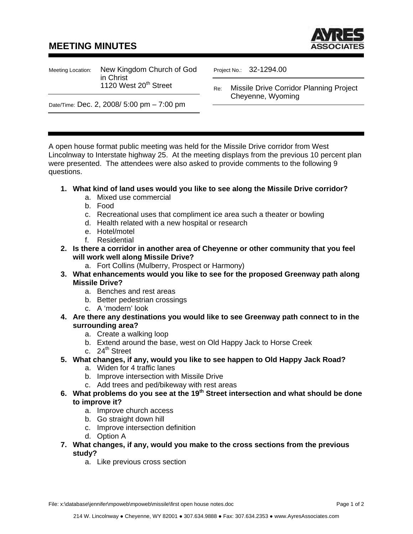## **MEETING MINUTES**



Meeting Location: New Kingdom Church of God in Christ 1120 West  $20<sup>th</sup>$  Street

Project No.: 32-1294.00

Re: Missile Drive Corridor Planning Project Cheyenne, Wyoming

Date/Time: Dec. 2, 2008/ 5:00 pm – 7:00 pm

A open house format public meeting was held for the Missile Drive corridor from West Lincolnway to Interstate highway 25. At the meeting displays from the previous 10 percent plan were presented. The attendees were also asked to provide comments to the following 9 questions.

## **1. What kind of land uses would you like to see along the Missile Drive corridor?**

- a. Mixed use commercial
- b. Food
- c. Recreational uses that compliment ice area such a theater or bowling
- d. Health related with a new hospital or research
- e. Hotel/motel
- f. Residential
- **2. Is there a corridor in another area of Cheyenne or other community that you feel will work well along Missile Drive?** 
	- a. Fort Collins (Mulberry, Prospect or Harmony)
- **3. What enhancements would you like to see for the proposed Greenway path along Missile Drive?** 
	- a. Benches and rest areas
	- b. Better pedestrian crossings
	- c. A 'modern' look
- **4. Are there any destinations you would like to see Greenway path connect to in the surrounding area?** 
	- a. Create a walking loop
	- b. Extend around the base, west on Old Happy Jack to Horse Creek
	- c.  $24^{\text{th}}$  Street
- **5. What changes, if any, would you like to see happen to Old Happy Jack Road?** 
	- a. Widen for 4 traffic lanes
	- b. Improve intersection with Missile Drive
	- c. Add trees and ped/bikeway with rest areas
- **6. What problems do you see at the 19th Street intersection and what should be done to improve it?** 
	- a. Improve church access
	- b. Go straight down hill
	- c. Improve intersection definition
	- d. Option A
- **7. What changes, if any, would you make to the cross sections from the previous study?** 
	- a. Like previous cross section